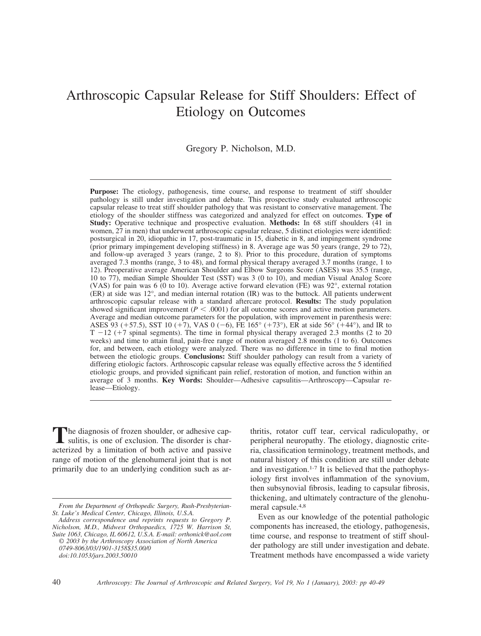# Arthroscopic Capsular Release for Stiff Shoulders: Effect of Etiology on Outcomes

Gregory P. Nicholson, M.D.

**Purpose:** The etiology, pathogenesis, time course, and response to treatment of stiff shoulder pathology is still under investigation and debate. This prospective study evaluated arthroscopic capsular release to treat stiff shoulder pathology that was resistant to conservative management. The etiology of the shoulder stiffness was categorized and analyzed for effect on outcomes. **Type of Study:** Operative technique and prospective evaluation. **Methods:** In 68 stiff shoulders (41 in women, 27 in men) that underwent arthroscopic capsular release, 5 distinct etiologies were identified: postsurgical in 20, idiopathic in 17, post-traumatic in 15, diabetic in 8, and impingement syndrome (prior primary impingement developing stiffness) in 8. Average age was 50 years (range, 29 to 72), and follow-up averaged 3 years (range, 2 to 8). Prior to this procedure, duration of symptoms averaged 7.3 months (range, 3 to 48), and formal physical therapy averaged 3.7 months (range, 1 to 12). Preoperative average American Shoulder and Elbow Surgeons Score (ASES) was 35.5 (range, 10 to 77), median Simple Shoulder Test (SST) was 3 (0 to 10), and median Visual Analog Score (VAS) for pain was 6 (0 to 10). Average active forward elevation (FE) was 92°, external rotation (ER) at side was 12°, and median internal rotation (IR) was to the buttock. All patients underwent arthroscopic capsular release with a standard aftercare protocol. **Results:** The study population showed significant improvement ( $P < .0001$ ) for all outcome scores and active motion parameters. Average and median outcome parameters for the population, with improvement in parenthesis were: ASES 93 (+57.5), SST 10 (+7), VAS 0 (-6), FE 165 $^{\circ}$  (+73 $^{\circ}$ ), ER at side 56 $^{\circ}$  (+44 $^{\circ}$ ), and IR to  $T - 12$  (+7 spinal segments). The time in formal physical therapy averaged 2.3 months (2 to 20 weeks) and time to attain final, pain-free range of motion averaged 2.8 months (1 to 6). Outcomes for, and between, each etiology were analyzed. There was no difference in time to final motion between the etiologic groups. **Conclusions:** Stiff shoulder pathology can result from a variety of differing etiologic factors. Arthroscopic capsular release was equally effective across the 5 identified etiologic groups, and provided significant pain relief, restoration of motion, and function within an average of 3 months. **Key Words:** Shoulder—Adhesive capsulitis—Arthroscopy—Capsular release—Etiology.

The diagnosis of frozen shoulder, or adhesive cap-<br>sulitis, is one of exclusion. The disorder is characterized by a limitation of both active and passive range of motion of the glenohumeral joint that is not primarily due to an underlying condition such as ar-

thritis, rotator cuff tear, cervical radiculopathy, or peripheral neuropathy. The etiology, diagnostic criteria, classification terminology, treatment methods, and natural history of this condition are still under debate and investigation.1-7 It is believed that the pathophysiology first involves inflammation of the synovium, then subsynovial fibrosis, leading to capsular fibrosis, thickening, and ultimately contracture of the glenohumeral capsule.4,8

Even as our knowledge of the potential pathologic components has increased, the etiology, pathogenesis, time course, and response to treatment of stiff shoulder pathology are still under investigation and debate. Treatment methods have encompassed a wide variety

*From the Department of Orthopedic Surgery, Rush-Presbyterian-St. Luke's Medical Center, Chicago, Illinois, U.S.A.*

*Address correspondence and reprints requests to Gregory P. Nicholson, M.D., Midwest Orthopaedics, 1725 W. Harrison St, Suite 1063, Chicago, IL 60612, U.S.A. E-mail: orthonick@aol.com* © *2003 by the Arthroscopy Association of North America 0749-8063/03/1901-3158\$35.00/0 doi:10.1053/jars.2003.50010*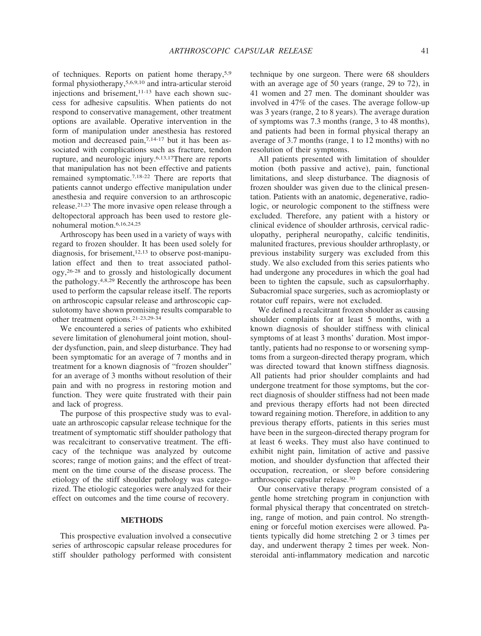of techniques. Reports on patient home therapy,5,9 formal physiotherapy,5,6,9,10 and intra-articular steroid injections and brisement, $11-13$  have each shown success for adhesive capsulitis. When patients do not respond to conservative management, other treatment options are available. Operative intervention in the form of manipulation under anesthesia has restored motion and decreased pain, $7,14-17$  but it has been associated with complications such as fracture, tendon rupture, and neurologic injury.6,13,17There are reports that manipulation has not been effective and patients remained symptomatic.7,18-22 There are reports that patients cannot undergo effective manipulation under anesthesia and require conversion to an arthroscopic release.21,23 The more invasive open release through a deltopectoral approach has been used to restore glenohumeral motion.6,16,24,25

Arthroscopy has been used in a variety of ways with regard to frozen shoulder. It has been used solely for diagnosis, for brisement, $12,13$  to observe post-manipulation effect and then to treat associated pathology,26-28 and to grossly and histologically document the pathology.4,8,29 Recently the arthroscope has been used to perform the capsular release itself. The reports on arthroscopic capsular release and arthroscopic capsulotomy have shown promising results comparable to other treatment options.21-23,29-34

We encountered a series of patients who exhibited severe limitation of glenohumeral joint motion, shoulder dysfunction, pain, and sleep disturbance. They had been symptomatic for an average of 7 months and in treatment for a known diagnosis of "frozen shoulder" for an average of 3 months without resolution of their pain and with no progress in restoring motion and function. They were quite frustrated with their pain and lack of progress.

The purpose of this prospective study was to evaluate an arthroscopic capsular release technique for the treatment of symptomatic stiff shoulder pathology that was recalcitrant to conservative treatment. The efficacy of the technique was analyzed by outcome scores; range of motion gains; and the effect of treatment on the time course of the disease process. The etiology of the stiff shoulder pathology was categorized. The etiologic categories were analyzed for their effect on outcomes and the time course of recovery.

# **METHODS**

This prospective evaluation involved a consecutive series of arthroscopic capsular release procedures for stiff shoulder pathology performed with consistent technique by one surgeon. There were 68 shoulders with an average age of 50 years (range, 29 to 72), in 41 women and 27 men. The dominant shoulder was involved in 47% of the cases. The average follow-up was 3 years (range, 2 to 8 years). The average duration of symptoms was 7.3 months (range, 3 to 48 months), and patients had been in formal physical therapy an average of 3.7 months (range, 1 to 12 months) with no resolution of their symptoms.

All patients presented with limitation of shoulder motion (both passive and active), pain, functional limitations, and sleep disturbance. The diagnosis of frozen shoulder was given due to the clinical presentation. Patients with an anatomic, degenerative, radiologic, or neurologic component to the stiffness were excluded. Therefore, any patient with a history or clinical evidence of shoulder arthrosis, cervical radiculopathy, peripheral neuropathy, calcific tendinitis, malunited fractures, previous shoulder arthroplasty, or previous instability surgery was excluded from this study. We also excluded from this series patients who had undergone any procedures in which the goal had been to tighten the capsule, such as capsulorrhaphy. Subacromial space surgeries, such as acromioplasty or rotator cuff repairs, were not excluded.

We defined a recalcitrant frozen shoulder as causing shoulder complaints for at least 5 months, with a known diagnosis of shoulder stiffness with clinical symptoms of at least 3 months' duration. Most importantly, patients had no response to or worsening symptoms from a surgeon-directed therapy program, which was directed toward that known stiffness diagnosis*.* All patients had prior shoulder complaints and had undergone treatment for those symptoms, but the correct diagnosis of shoulder stiffness had not been made and previous therapy efforts had not been directed toward regaining motion. Therefore, in addition to any previous therapy efforts, patients in this series must have been in the surgeon-directed therapy program for at least 6 weeks. They must also have continued to exhibit night pain, limitation of active and passive motion, and shoulder dysfunction that affected their occupation, recreation, or sleep before considering arthroscopic capsular release.30

Our conservative therapy program consisted of a gentle home stretching program in conjunction with formal physical therapy that concentrated on stretching, range of motion, and pain control. No strengthening or forceful motion exercises were allowed. Patients typically did home stretching 2 or 3 times per day, and underwent therapy 2 times per week. Nonsteroidal anti-inflammatory medication and narcotic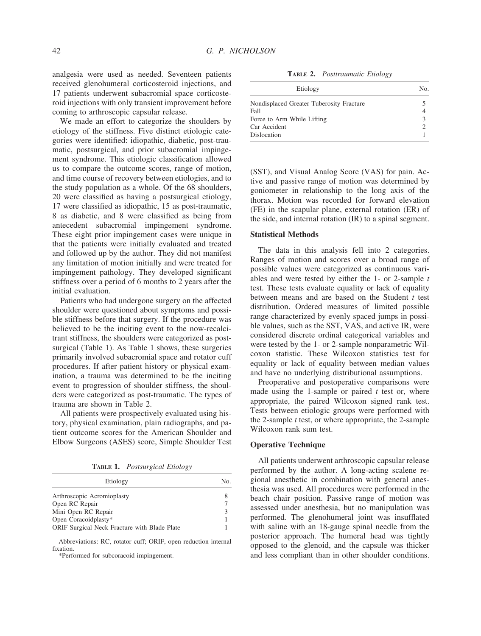analgesia were used as needed. Seventeen patients received glenohumeral corticosteroid injections, and 17 patients underwent subacromial space corticosteroid injections with only transient improvement before coming to arthroscopic capsular release.

We made an effort to categorize the shoulders by etiology of the stiffness. Five distinct etiologic categories were identified: idiopathic, diabetic, post-traumatic, postsurgical, and prior subacromial impingement syndrome. This etiologic classification allowed us to compare the outcome scores, range of motion, and time course of recovery between etiologies, and to the study population as a whole. Of the 68 shoulders, 20 were classified as having a postsurgical etiology, 17 were classified as idiopathic, 15 as post-traumatic, 8 as diabetic, and 8 were classified as being from antecedent subacromial impingement syndrome. These eight prior impingement cases were unique in that the patients were initially evaluated and treated and followed up by the author. They did not manifest any limitation of motion initially and were treated for impingement pathology. They developed significant stiffness over a period of 6 months to 2 years after the initial evaluation.

Patients who had undergone surgery on the affected shoulder were questioned about symptoms and possible stiffness before that surgery. If the procedure was believed to be the inciting event to the now-recalcitrant stiffness, the shoulders were categorized as postsurgical (Table 1). As Table 1 shows, these surgeries primarily involved subacromial space and rotator cuff procedures. If after patient history or physical examination, a trauma was determined to be the inciting event to progression of shoulder stiffness, the shoulders were categorized as post-traumatic. The types of trauma are shown in Table 2.

All patients were prospectively evaluated using history, physical examination, plain radiographs, and patient outcome scores for the American Shoulder and Elbow Surgeons (ASES) score, Simple Shoulder Test

**TABLE 1.** *Postsurgical Etiology*

| Etiology                                     | Nο. |
|----------------------------------------------|-----|
| Arthroscopic Acromioplasty                   |     |
| Open RC Repair                               |     |
| Mini Open RC Repair                          |     |
| Open Coracoidplasty*                         |     |
| ORIF Surgical Neck Fracture with Blade Plate |     |

Abbreviations: RC, rotator cuff; ORIF, open reduction internal fixation.

\*Performed for subcoracoid impingement.

**TABLE 2.** *Posttraumatic Etiology*

| Etiology                                 | No. |  |  |
|------------------------------------------|-----|--|--|
| Nondisplaced Greater Tuberosity Fracture |     |  |  |
| Fall                                     | 4   |  |  |
| Force to Arm While Lifting               | 3   |  |  |
| Car Accident                             |     |  |  |
| Dislocation                              |     |  |  |

(SST), and Visual Analog Score (VAS) for pain. Active and passive range of motion was determined by goniometer in relationship to the long axis of the thorax. Motion was recorded for forward elevation (FE) in the scapular plane, external rotation (ER) of the side, and internal rotation (IR) to a spinal segment.

## **Statistical Methods**

The data in this analysis fell into 2 categories. Ranges of motion and scores over a broad range of possible values were categorized as continuous variables and were tested by either the 1- or 2-sample *t* test. These tests evaluate equality or lack of equality between means and are based on the Student *t* test distribution. Ordered measures of limited possible range characterized by evenly spaced jumps in possible values, such as the SST, VAS, and active IR, were considered discrete ordinal categorical variables and were tested by the 1- or 2-sample nonparametric Wilcoxon statistic. These Wilcoxon statistics test for equality or lack of equality between median values and have no underlying distributional assumptions.

Preoperative and postoperative comparisons were made using the 1-sample or paired *t* test or, where appropriate, the paired Wilcoxon signed rank test. Tests between etiologic groups were performed with the 2-sample *t* test, or where appropriate, the 2-sample Wilcoxon rank sum test.

### **Operative Technique**

All patients underwent arthroscopic capsular release performed by the author. A long-acting scalene regional anesthetic in combination with general anesthesia was used. All procedures were performed in the beach chair position. Passive range of motion was assessed under anesthesia, but no manipulation was performed*.* The glenohumeral joint was insufflated with saline with an 18-gauge spinal needle from the posterior approach. The humeral head was tightly opposed to the glenoid, and the capsule was thicker and less compliant than in other shoulder conditions.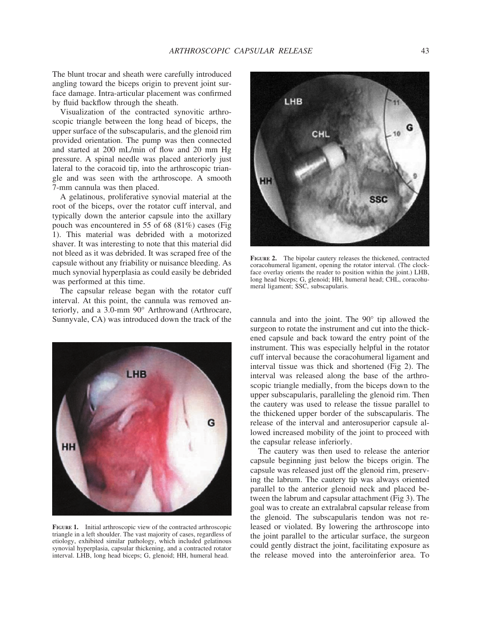The blunt trocar and sheath were carefully introduced angling toward the biceps origin to prevent joint surface damage. Intra-articular placement was confirmed by fluid backflow through the sheath.

Visualization of the contracted synovitic arthroscopic triangle between the long head of biceps, the upper surface of the subscapularis, and the glenoid rim provided orientation. The pump was then connected and started at 200 mL/min of flow and 20 mm Hg pressure. A spinal needle was placed anteriorly just lateral to the coracoid tip, into the arthroscopic triangle and was seen with the arthroscope. A smooth 7-mm cannula was then placed.

A gelatinous, proliferative synovial material at the root of the biceps, over the rotator cuff interval, and typically down the anterior capsule into the axillary pouch was encountered in 55 of 68 (81%) cases (Fig 1). This material was debrided with a motorized shaver. It was interesting to note that this material did not bleed as it was debrided. It was scraped free of the capsule without any friability or nuisance bleeding. As much synovial hyperplasia as could easily be debrided was performed at this time.

The capsular release began with the rotator cuff interval. At this point, the cannula was removed anteriorly, and a 3.0-mm 90° Arthrowand (Arthrocare, Sunnyvale, CA) was introduced down the track of the cannula and into the joint. The 90° tip allowed the



**FIGURE 1.** Initial arthroscopic view of the contracted arthroscopic triangle in a left shoulder. The vast majority of cases, regardless of etiology, exhibited similar pathology, which included gelatinous synovial hyperplasia, capsular thickening, and a contracted rotator interval. LHB, long head biceps; G, glenoid; HH, humeral head.



**FIGURE 2.** The bipolar cautery releases the thickened, contracted coracohumeral ligament, opening the rotator interval. (The clockface overlay orients the reader to position within the joint.) LHB, long head biceps; G, glenoid; HH, humeral head; CHL, coracohumeral ligament; SSC, subscapularis.

surgeon to rotate the instrument and cut into the thickened capsule and back toward the entry point of the instrument. This was especially helpful in the rotator cuff interval because the coracohumeral ligament and interval tissue was thick and shortened (Fig 2). The interval was released along the base of the arthroscopic triangle medially, from the biceps down to the upper subscapularis, paralleling the glenoid rim. Then the cautery was used to release the tissue parallel to the thickened upper border of the subscapularis. The release of the interval and anterosuperior capsule allowed increased mobility of the joint to proceed with the capsular release inferiorly.

The cautery was then used to release the anterior capsule beginning just below the biceps origin. The capsule was released just off the glenoid rim, preserving the labrum. The cautery tip was always oriented parallel to the anterior glenoid neck and placed between the labrum and capsular attachment (Fig 3). The goal was to create an extralabral capsular release from the glenoid. The subscapularis tendon was not released or violated. By lowering the arthroscope into the joint parallel to the articular surface, the surgeon could gently distract the joint, facilitating exposure as the release moved into the anteroinferior area. To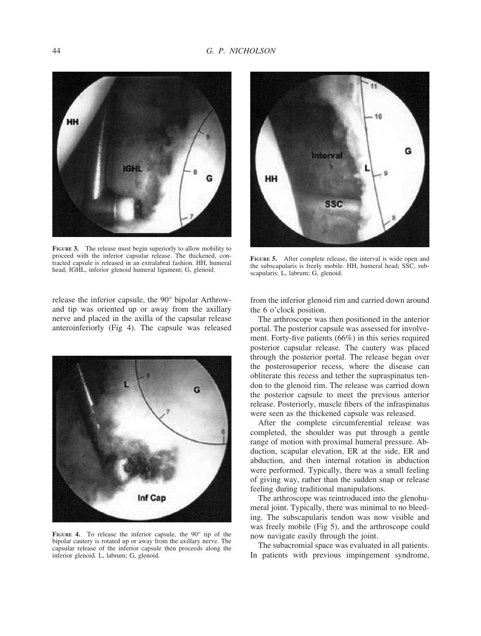

**FIGURE 3.** The release must begin superiorly to allow mobility to proceed with the inferior capsular release. The thickened, contracted capsule is released in an extralabral fashion. HH, humeral head; IGHL, inferior glenoid humeral ligament; G, glenoid.

release the inferior capsule, the 90° bipolar Arthrowand tip was oriented up or away from the axillary nerve and placed in the axilla of the capsular release anteroinferiorly (Fig 4). The capsule was released



**FIGURE 4.** To release the inferior capsule, the 90° tip of the bipolar cautery is rotated up or away from the axillary nerve. The capsular release of the inferior capsule then proceeds along the inferior glenoid. L, labrum; G, glenoid.



**FIGURE 5.** After complete release, the interval is wide open and the subscapularis is freely mobile. HH, humeral head; SSC, subscapularis; L, labrum; G, glenoid.

from the inferior glenoid rim and carried down around the 6 o'clock position.

The arthroscope was then positioned in the anterior portal. The posterior capsule was assessed for involvement. Forty-five patients (66%) in this series required posterior capsular release. The cautery was placed through the posterior portal. The release began over the posterosuperior recess, where the disease can obliterate this recess and tether the supraspinatus tendon to the glenoid rim. The release was carried down the posterior capsule to meet the previous anterior release. Posteriorly, muscle fibers of the infraspinatus were seen as the thickened capsule was released.

After the complete circumferential release was completed, the shoulder was put through a gentle range of motion with proximal humeral pressure. Abduction, scapular elevation, ER at the side, ER and abduction, and then internal rotation in abduction were performed. Typically, there was a small feeling of giving way, rather than the sudden snap or release feeling during traditional manipulations.

The arthroscope was reintroduced into the glenohumeral joint. Typically, there was minimal to no bleeding. The subscapularis tendon was now visible and was freely mobile (Fig 5), and the arthroscope could now navigate easily through the joint.

The subacromial space was evaluated in all patients. In patients with previous impingement syndrome,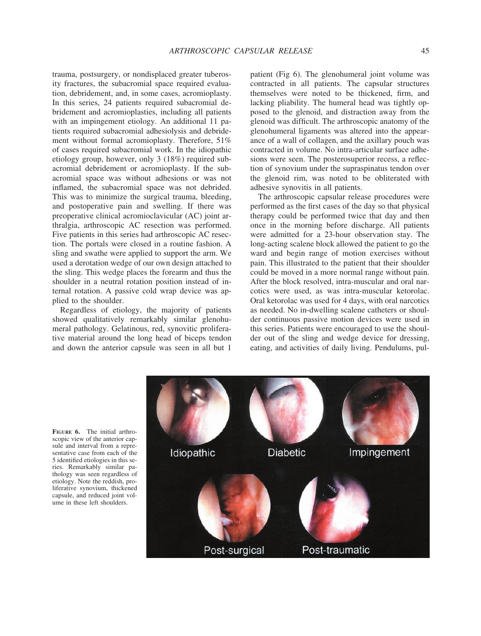trauma, postsurgery, or nondisplaced greater tuberosity fractures, the subacromial space required evaluation, debridement, and, in some cases, acromioplasty. In this series, 24 patients required subacromial debridement and acromioplasties, including all patients with an impingement etiology. An additional 11 patients required subacromial adhesiolysis and debridement without formal acromioplasty. Therefore, 51% of cases required subacromial work. In the idiopathic etiology group, however, only 3 (18%) required subacromial debridement or acromioplasty. If the subacromial space was without adhesions or was not inflamed, the subacromial space was not debrided. This was to minimize the surgical trauma, bleeding, and postoperative pain and swelling. If there was preoperative clinical acromioclavicular (AC) joint arthralgia, arthroscopic AC resection was performed. Five patients in this series had arthroscopic AC resection. The portals were closed in a routine fashion. A sling and swathe were applied to support the arm. We used a derotation wedge of our own design attached to the sling. This wedge places the forearm and thus the shoulder in a neutral rotation position instead of internal rotation. A passive cold wrap device was applied to the shoulder.

Regardless of etiology, the majority of patients showed qualitatively remarkably similar glenohumeral pathology. Gelatinous, red, synovitic proliferative material around the long head of biceps tendon and down the anterior capsule was seen in all but 1

patient (Fig 6). The glenohumeral joint volume was contracted in all patients. The capsular structures themselves were noted to be thickened, firm, and lacking pliability. The humeral head was tightly opposed to the glenoid, and distraction away from the glenoid was difficult. The arthroscopic anatomy of the glenohumeral ligaments was altered into the appearance of a wall of collagen, and the axillary pouch was contracted in volume. No intra-articular surface adhesions were seen. The posterosuperior recess, a reflection of synovium under the supraspinatus tendon over the glenoid rim, was noted to be obliterated with adhesive synovitis in all patients.

The arthroscopic capsular release procedures were performed as the first cases of the day so that physical therapy could be performed twice that day and then once in the morning before discharge. All patients were admitted for a 23-hour observation stay. The long-acting scalene block allowed the patient to go the ward and begin range of motion exercises without pain. This illustrated to the patient that their shoulder could be moved in a more normal range without pain. After the block resolved, intra-muscular and oral narcotics were used, as was intra-muscular ketorolac. Oral ketorolac was used for 4 days, with oral narcotics as needed. No in-dwelling scalene catheters or shoulder continuous passive motion devices were used in this series. Patients were encouraged to use the shoulder out of the sling and wedge device for dressing, eating, and activities of daily living. Pendulums, pul-

**Diabetic** Idiopathic Impingement Post-surgical Post-traumatic

**FIGURE 6.** The initial arthroscopic view of the anterior capsule and interval from a representative case from each of the 5 identified etiologies in this series. Remarkably similar pathology was seen regardless of etiology. Note the reddish, proliferative synovium, thickened capsule, and reduced joint volume in these left shoulders.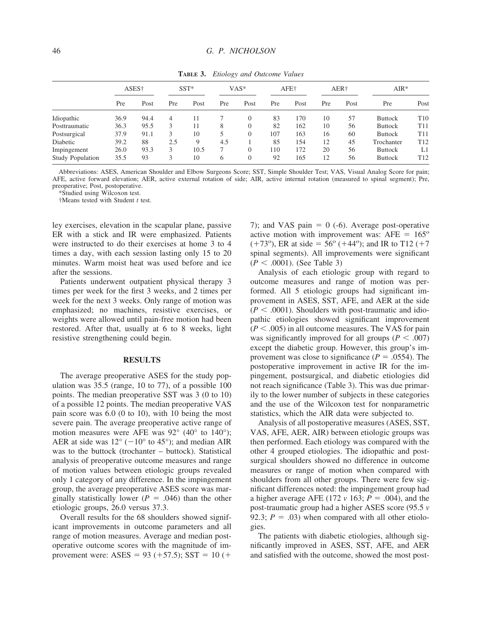|                         | $\sim$            |      |        |      |         |          |     |      |     |      |                |                 |
|-------------------------|-------------------|------|--------|------|---------|----------|-----|------|-----|------|----------------|-----------------|
|                         | ASES <sup>+</sup> |      | $SST*$ |      | $VAS^*$ |          |     | AFE+ |     | AER† | $AIR*$         |                 |
|                         | Pre               | Post | Pre    | Post | Pre     | Post     | Pre | Post | Pre | Post | Pre            | Post            |
| Idiopathic              | 36.9              | 94.4 | 4      |      |         | 0        | 83  | 170  | 10  | 57   | <b>Buttock</b> | T <sub>10</sub> |
| Posttraumatic           | 36.3              | 95.5 |        | 11   | 8       | $\Omega$ | 82  | 162  | 10  | 56   | <b>Buttock</b> | T11             |
| Postsurgical            | 37.9              | 91.1 |        | 10   |         | 0        | 107 | 163  | 16  | 60   | <b>Buttock</b> | T <sub>11</sub> |
| Diabetic                | 39.2              | 88   | 2.5    | 9    | 4.5     |          | 85  | 154  | 12  | 45   | Trochanter     | T <sub>12</sub> |
| Impingement             | 26.0              | 93.3 | 3      | 10.5 |         | $\Omega$ | 110 | 172  | 20  | 56   | <b>Buttock</b> | L1              |
| <b>Study Population</b> | 35.5              | 93   | 2      | 10   | h       | 0        | 92  | 165  | 12  | 56   | <b>Buttock</b> | T <sub>12</sub> |

**TABLE 3.** *Etiology and Outcome Values*

Abbreviations: ASES, American Shoulder and Elbow Surgeons Score; SST, Simple Shoulder Test; VAS, Visual Analog Score for pain; AFE, active forward elevation; AER, active external rotation of side; AIR, active internal rotation (measured to spinal segment); Pre, preoperative; Post, postoperative.

\*Studied using Wilcoxon test.

†Means tested with Student *t* test.

ley exercises, elevation in the scapular plane, passive ER with a stick and IR were emphasized. Patients were instructed to do their exercises at home 3 to 4 times a day, with each session lasting only 15 to 20 minutes. Warm moist heat was used before and ice after the sessions.

Patients underwent outpatient physical therapy 3 times per week for the first 3 weeks, and 2 times per week for the next 3 weeks. Only range of motion was emphasized; no machines, resistive exercises, or weights were allowed until pain-free motion had been restored. After that, usually at 6 to 8 weeks, light resistive strengthening could begin.

#### **RESULTS**

The average preoperative ASES for the study population was 35.5 (range, 10 to 77), of a possible 100 points. The median preoperative SST was 3 (0 to 10) of a possible 12 points. The median preoperative VAS pain score was 6.0 (0 to 10), with 10 being the most severe pain. The average preoperative active range of motion measures were AFE was 92° (40° to 140°); AER at side was  $12^{\circ}$  (-10° to 45°); and median AIR was to the buttock (trochanter – buttock). Statistical analysis of preoperative outcome measures and range of motion values between etiologic groups revealed only 1 category of any difference. In the impingement group, the average preoperative ASES score was marginally statistically lower ( $P = .046$ ) than the other etiologic groups, 26.0 versus 37.3.

Overall results for the 68 shoulders showed significant improvements in outcome parameters and all range of motion measures. Average and median postoperative outcome scores with the magnitude of improvement were:  $ASES = 93 (+57.5)$ ;  $SST = 10 (+$ 

7); and VAS pain  $= 0$  (-6). Average post-operative active motion with improvement was:  $AFE = 165^{\circ}$  $(+73^{\circ})$ , ER at side = 56° (+44°); and IR to T12 (+7) spinal segments). All improvements were significant  $(P < .0001)$ . (See Table 3)

Analysis of each etiologic group with regard to outcome measures and range of motion was performed. All 5 etiologic groups had significant improvement in ASES, SST, AFE, and AER at the side  $(P < .0001)$ . Shoulders with post-traumatic and idiopathic etiologies showed significant improvement  $(P < .005)$  in all outcome measures. The VAS for pain was significantly improved for all groups ( $P < .007$ ) except the diabetic group. However, this group's improvement was close to significance ( $P = .0554$ ). The postoperative improvement in active IR for the impingement, postsurgical, and diabetic etiologies did not reach significance (Table 3). This was due primarily to the lower number of subjects in these categories and the use of the Wilcoxon test for nonparametric statistics, which the AIR data were subjected to.

Analysis of all postoperative measures (ASES, SST, VAS, AFE, AER, AIR) between etiologic groups was then performed. Each etiology was compared with the other 4 grouped etiologies. The idiopathic and postsurgical shoulders showed no difference in outcome measures or range of motion when compared with shoulders from all other groups. There were few significant differences noted: the impingement group had a higher average AFE (172  $v$  163;  $P = .004$ ), and the post-traumatic group had a higher ASES score (95.5 *v* 92.3;  $P = .03$ ) when compared with all other etiologies.

The patients with diabetic etiologies, although significantly improved in ASES, SST, AFE, and AER and satisfied with the outcome, showed the most post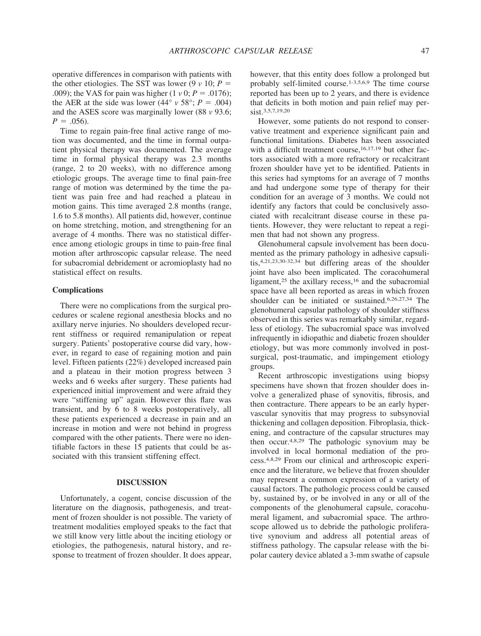operative differences in comparison with patients with the other etiologies. The SST was lower (9  $\nu$  10;  $P =$ .009); the VAS for pain was higher  $(1 \nu 0; P = .0176)$ ; the AER at the side was lower (44°  $\nu$  58°; *P* = .004) and the ASES score was marginally lower (88 *v* 93.6;  $P = .056$ .

Time to regain pain-free final active range of motion was documented, and the time in formal outpatient physical therapy was documented. The average time in formal physical therapy was 2.3 months (range, 2 to 20 weeks), with no difference among etiologic groups. The average time to final pain-free range of motion was determined by the time the patient was pain free and had reached a plateau in motion gains. This time averaged 2.8 months (range, 1.6 to 5.8 months). All patients did, however, continue on home stretching, motion, and strengthening for an average of 4 months. There was no statistical difference among etiologic groups in time to pain-free final motion after arthroscopic capsular release. The need for subacromial debridement or acromioplasty had no statistical effect on results.

## **Complications**

There were no complications from the surgical procedures or scalene regional anesthesia blocks and no axillary nerve injuries. No shoulders developed recurrent stiffness or required remanipulation or repeat surgery. Patients' postoperative course did vary, however, in regard to ease of regaining motion and pain level. Fifteen patients (22%) developed increased pain and a plateau in their motion progress between 3 weeks and 6 weeks after surgery. These patients had experienced initial improvement and were afraid they were "stiffening up" again. However this flare was transient, and by 6 to 8 weeks postoperatively, all these patients experienced a decrease in pain and an increase in motion and were not behind in progress compared with the other patients. There were no identifiable factors in these 15 patients that could be associated with this transient stiffening effect.

## **DISCUSSION**

Unfortunately, a cogent, concise discussion of the literature on the diagnosis, pathogenesis, and treatment of frozen shoulder is not possible. The variety of treatment modalities employed speaks to the fact that we still know very little about the inciting etiology or etiologies, the pathogenesis, natural history, and response to treatment of frozen shoulder. It does appear, however, that this entity does follow a prolonged but probably self-limited course.1-3,5,6,9 The time course reported has been up to 2 years, and there is evidence that deficits in both motion and pain relief may persist.<sup>3,5,7,19,20</sup>

However, some patients do not respond to conservative treatment and experience significant pain and functional limitations. Diabetes has been associated with a difficult treatment course,<sup>16,17,19</sup> but other factors associated with a more refractory or recalcitrant frozen shoulder have yet to be identified. Patients in this series had symptoms for an average of 7 months and had undergone some type of therapy for their condition for an average of 3 months. We could not identify any factors that could be conclusively associated with recalcitrant disease course in these patients. However, they were reluctant to repeat a regimen that had not shown any progress.

Glenohumeral capsule involvement has been documented as the primary pathology in adhesive capsulitis,4,21,23,30-32,34 but differing areas of the shoulder joint have also been implicated. The coracohumeral ligament, $25$  the axillary recess, $16$  and the subacromial space have all been reported as areas in which frozen shoulder can be initiated or sustained.6,26,27,34 The glenohumeral capsular pathology of shoulder stiffness observed in this series was remarkably similar, regardless of etiology. The subacromial space was involved infrequently in idiopathic and diabetic frozen shoulder etiology, but was more commonly involved in postsurgical, post-traumatic, and impingement etiology groups.

Recent arthroscopic investigations using biopsy specimens have shown that frozen shoulder does involve a generalized phase of synovitis, fibrosis, and then contracture. There appears to be an early hypervascular synovitis that may progress to subsynovial thickening and collagen deposition. Fibroplasia, thickening, and contracture of the capsular structures may then occur.4,8,29 The pathologic synovium may be involved in local hormonal mediation of the process.4,8,29 From our clinical and arthroscopic experience and the literature, we believe that frozen shoulder may represent a common expression of a variety of causal factors. The pathologic process could be caused by, sustained by, or be involved in any or all of the components of the glenohumeral capsule, coracohumeral ligament, and subacromial space. The arthroscope allowed us to debride the pathologic proliferative synovium and address all potential areas of stiffness pathology. The capsular release with the bipolar cautery device ablated a 3-mm swathe of capsule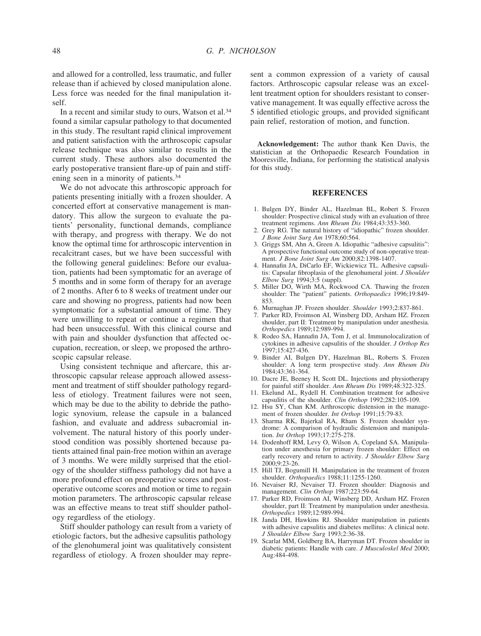and allowed for a controlled, less traumatic, and fuller release than if achieved by closed manipulation alone. Less force was needed for the final manipulation itself.

In a recent and similar study to ours, Watson et al.<sup>34</sup> found a similar capsular pathology to that documented in this study. The resultant rapid clinical improvement and patient satisfaction with the arthroscopic capsular release technique was also similar to results in the current study. These authors also documented the early postoperative transient flare-up of pain and stiffening seen in a minority of patients.34

We do not advocate this arthroscopic approach for patients presenting initially with a frozen shoulder. A concerted effort at conservative management is mandatory. This allow the surgeon to evaluate the patients' personality, functional demands, compliance with therapy, and progress with therapy. We do not know the optimal time for arthroscopic intervention in recalcitrant cases, but we have been successful with the following general guidelines: Before our evaluation, patients had been symptomatic for an average of 5 months and in some form of therapy for an average of 2 months. After 6 to 8 weeks of treatment under our care and showing no progress, patients had now been symptomatic for a substantial amount of time. They were unwilling to repeat or continue a regimen that had been unsuccessful. With this clinical course and with pain and shoulder dysfunction that affected occupation, recreation, or sleep, we proposed the arthroscopic capsular release.

Using consistent technique and aftercare, this arthroscopic capsular release approach allowed assessment and treatment of stiff shoulder pathology regardless of etiology. Treatment failures were not seen, which may be due to the ability to debride the pathologic synovium, release the capsule in a balanced fashion, and evaluate and address subacromial involvement. The natural history of this poorly understood condition was possibly shortened because patients attained final pain-free motion within an average of 3 months. We were mildly surprised that the etiology of the shoulder stiffness pathology did not have a more profound effect on preoperative scores and postoperative outcome scores and motion or time to regain motion parameters. The arthroscopic capsular release was an effective means to treat stiff shoulder pathology regardless of the etiology.

Stiff shoulder pathology can result from a variety of etiologic factors, but the adhesive capsulitis pathology of the glenohumeral joint was qualitatively consistent regardless of etiology. A frozen shoulder may represent a common expression of a variety of causal factors. Arthroscopic capsular release was an excellent treatment option for shoulders resistant to conservative management. It was equally effective across the 5 identified etiologic groups, and provided significant pain relief, restoration of motion, and function.

**Acknowledgement:** The author thank Ken Davis, the statistician at the Orthopaedic Research Foundation in Mooresville, Indiana, for performing the statistical analysis for this study.

# **REFERENCES**

- 1. Bulgen DY, Binder AL, Hazelman BL, Robert S. Frozen shoulder: Prospective clinical study with an evaluation of three treatment regimens. *Ann Rheum Dis* 1984;43:353-360.
- 2. Grey RG. The natural history of "idiopathic" frozen shoulder. *J Bone Joint Surg Am* 1978;60:564.
- 3. Griggs SM, Ahn A, Green A. Idiopathic "adhesive capsulitis": A prospective functional outcome study of non-operative treatment. *J Bone Joint Surg Am* 2000;82:1398-1407.
- 4. Hannafin JA, DiCarlo EF, Wickiewicz TL. Adhesive capsulitis: Capsular fibroplasia of the glenohumeral joint. *J Shoulder Elbow Surg* 1994;3:5 (suppl).
- 5. Miller DO, Wirth MA, Rockwood CA. Thawing the frozen shoulder: The "patient" patients. *Orthopaedics* 1996;19:849- 853.
- 6. Murnaghan JP. Frozen shoulder. *Shoulder* 1993;2:837-861.
- 7. Parker RD, Froimson AI, Winsberg DD, Arsham HZ. Frozen shoulder, part II: Treatment by manipulation under anesthesia. *Orthopedics* 1989;12:989-994.
- 8. Rodeo SA, Hannafin JA, Tom J, et al. Immunolocalization of cytokines in adhesive capsulitis of the shoulder. *J Orthop Res* 1997;15:427-436.
- 9. Binder AI, Bulgen DY, Hazelman BL, Roberts S. Frozen shoulder: A long term prospective study. *Ann Rheum Dis* 1984;43:361-364.
- 10. Dacre JE, Beeney H, Scott DL. Injections and physiotherapy for painful stiff shoulder. *Ann Rheum Dis* 1989;48:322-325.
- 11. Ekelund AL, Rydell H. Combination treatment for adhesive capsulitis of the shoulder. *Clin Orthop* 1992;282:105-109.
- 12. Hsu SY, Chan KM. Arthroscopic distension in the management of frozen shoulder. *Int Orthop* 1991;15:79-83.
- 13. Sharma RK, Bajerkal RA, Rham S. Frozen shoulder syndrome: A comparison of hydraulic distension and manipulation. *Int Orthop* 1993;17:275-278.
- 14. Dodenhoff RM, Levy O, Wilson A, Copeland SA. Manipulation under anesthesia for primary frozen shoulder: Effect on early recovery and return to activity. *J Shoulder Elbow Surg* 2000;9:23-26.
- 15. Hill TJ, Bogumill H. Manipulation in the treatment of frozen shoulder. *Orthopaedics* 1988;11:1255-1260.
- 16. Nevaiser RJ, Nevaiser TJ. Frozen shoulder: Diagnosis and management. *Clin Orthop* 1987;223:59-64.
- 17. Parker RD, Froimson AI, Winsberg DD, Arsham HZ. Frozen shoulder, part II: Treatment by manipulation under anesthesia. *Orthopedics* 1989;12:989-994.
- 18. Janda DH, Hawkins RJ. Shoulder manipulation in patients with adhesive capsulitis and diabetes mellitus: A clinical note. *J Shoulder Elbow Surg* 1993;2:36-38.
- 19. Scarlat MM, Goldberg BA, Harryman DT. Frozen shoulder in diabetic patients: Handle with care. *J Musculoskel Med* 2000; Aug:484-498.